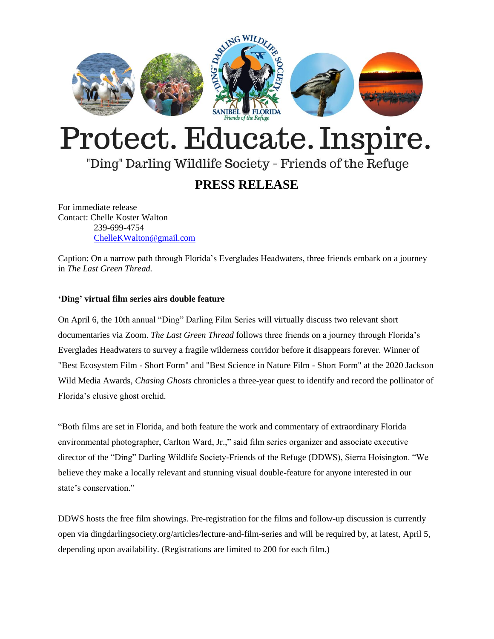

# Protect. Educate. Inspire.

# "Ding" Darling Wildlife Society - Friends of the Refuge

## **PRESS RELEASE**

For immediate release Contact: Chelle Koster Walton 239-699-4754 [ChelleKWalton@gmail.com](mailto:ChelleKWalton@gmail.com)

Caption: On a narrow path through Florida's Everglades Headwaters, three friends embark on a journey in *The Last Green Thread.* 

## **'Ding' virtual film series airs double feature**

On April 6, the 10th annual "Ding" Darling Film Series will virtually discuss two relevant short documentaries via Zoom. *The Last Green Thread* follows three friends on a journey through Florida's Everglades Headwaters to survey a fragile wilderness corridor before it disappears forever. Winner of "Best Ecosystem Film - Short Form" and "Best Science in Nature Film - Short Form" at the 2020 Jackson Wild Media Awards, *Chasing Ghosts* chronicles a three-year quest to identify and record the pollinator of Florida's elusive ghost orchid.

"Both films are set in Florida, and both feature the work and commentary of extraordinary Florida environmental photographer, Carlton Ward, Jr.," said film series organizer and associate executive director of the "Ding" Darling Wildlife Society-Friends of the Refuge (DDWS), Sierra Hoisington. "We believe they make a locally relevant and stunning visual double-feature for anyone interested in our state's conservation."

DDWS hosts the free film showings. Pre-registration for the films and follow-up discussion is currently open via dingdarlingsociety.org/articles/lecture-and-film-series and will be required by, at latest, April 5, depending upon availability. (Registrations are limited to 200 for each film.)